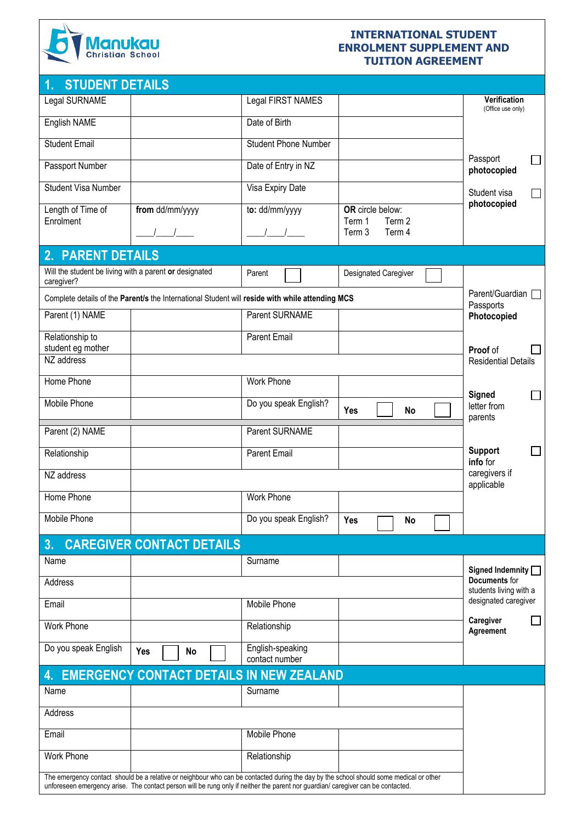

### **INTERNATIONAL STUDENT ENROLMENT SUPPLEMENT AND TUITION AGREEMENT**

| <b>STUDENT DETAILS</b><br>1.                                                                    |                                                                                                                                                                                                                                                                            |                                    |                                      |                                                                 |
|-------------------------------------------------------------------------------------------------|----------------------------------------------------------------------------------------------------------------------------------------------------------------------------------------------------------------------------------------------------------------------------|------------------------------------|--------------------------------------|-----------------------------------------------------------------|
| Legal SURNAME                                                                                   |                                                                                                                                                                                                                                                                            | Legal FIRST NAMES                  |                                      | Verification<br>(Office use only)                               |
| English NAME                                                                                    |                                                                                                                                                                                                                                                                            | Date of Birth                      |                                      |                                                                 |
| <b>Student Email</b>                                                                            |                                                                                                                                                                                                                                                                            | <b>Student Phone Number</b>        |                                      | Passport                                                        |
| Passport Number                                                                                 |                                                                                                                                                                                                                                                                            | Date of Entry in NZ                |                                      | $\sim$<br>photocopied                                           |
| <b>Student Visa Number</b>                                                                      |                                                                                                                                                                                                                                                                            | Visa Expiry Date                   |                                      | Student visa<br>$\Box$                                          |
| Length of Time of<br>Enrolment                                                                  | from dd/mm/yyyy                                                                                                                                                                                                                                                            | to: dd/mm/yyyy                     | OR circle below:<br>Term 2<br>Term 1 | photocopied                                                     |
|                                                                                                 |                                                                                                                                                                                                                                                                            |                                    | Term 3<br>Term 4                     |                                                                 |
| 2. PARENT DETAILS                                                                               |                                                                                                                                                                                                                                                                            |                                    |                                      |                                                                 |
| Will the student be living with a parent or designated<br>caregiver?                            |                                                                                                                                                                                                                                                                            | Parent                             | Designated Caregiver                 |                                                                 |
| Complete details of the Parent/s the International Student will reside with while attending MCS |                                                                                                                                                                                                                                                                            | Parent/Guardian  <br>Passports     |                                      |                                                                 |
| Parent (1) NAME                                                                                 |                                                                                                                                                                                                                                                                            | <b>Parent SURNAME</b>              |                                      | Photocopied                                                     |
| Relationship to<br>student eg mother                                                            |                                                                                                                                                                                                                                                                            | <b>Parent Email</b>                |                                      | Proof of                                                        |
| NZ address                                                                                      |                                                                                                                                                                                                                                                                            |                                    |                                      | <b>Residential Details</b>                                      |
| Home Phone                                                                                      |                                                                                                                                                                                                                                                                            | <b>Work Phone</b>                  |                                      |                                                                 |
| Mobile Phone                                                                                    |                                                                                                                                                                                                                                                                            | Do you speak English?              | Yes<br>No                            | Signed<br>$\mathcal{L}_{\mathcal{A}}$<br>letter from<br>parents |
| Parent (2) NAME                                                                                 |                                                                                                                                                                                                                                                                            | Parent SURNAME                     |                                      |                                                                 |
| Relationship                                                                                    |                                                                                                                                                                                                                                                                            | Parent Email                       |                                      | <b>Support</b><br>$\Box$<br>info for                            |
| NZ address                                                                                      |                                                                                                                                                                                                                                                                            |                                    |                                      | caregivers if<br>applicable                                     |
| Home Phone                                                                                      |                                                                                                                                                                                                                                                                            | Work Phone                         |                                      |                                                                 |
| Mobile Phone                                                                                    |                                                                                                                                                                                                                                                                            | Do you speak English?              | Yes<br>No                            |                                                                 |
| 3.                                                                                              | <b>CAREGIVER CONTACT DETAILS</b>                                                                                                                                                                                                                                           |                                    |                                      |                                                                 |
| Name                                                                                            |                                                                                                                                                                                                                                                                            | Surname                            |                                      | Signed Indemnity                                                |
| Address                                                                                         |                                                                                                                                                                                                                                                                            |                                    |                                      | Documents for<br>students living with a                         |
| Email                                                                                           |                                                                                                                                                                                                                                                                            | Mobile Phone                       |                                      | designated caregiver                                            |
| <b>Work Phone</b>                                                                               |                                                                                                                                                                                                                                                                            | Relationship                       |                                      | Caregiver<br>Agreement                                          |
| Do you speak English                                                                            | Yes<br>No                                                                                                                                                                                                                                                                  | English-speaking<br>contact number |                                      |                                                                 |
| 4.                                                                                              | <b>EMERGENCY CONTACT DETAILS IN NEW ZEALAND</b>                                                                                                                                                                                                                            |                                    |                                      |                                                                 |
| Name                                                                                            |                                                                                                                                                                                                                                                                            | Surname                            |                                      |                                                                 |
| Address                                                                                         |                                                                                                                                                                                                                                                                            |                                    |                                      |                                                                 |
| Email                                                                                           |                                                                                                                                                                                                                                                                            | Mobile Phone                       |                                      |                                                                 |
| <b>Work Phone</b>                                                                               |                                                                                                                                                                                                                                                                            | Relationship                       |                                      |                                                                 |
|                                                                                                 | The emergency contact should be a relative or neighbour who can be contacted during the day by the school should some medical or other<br>unforeseen emergency arise. The contact person will be rung only if neither the parent nor guardian/ caregiver can be contacted. |                                    |                                      |                                                                 |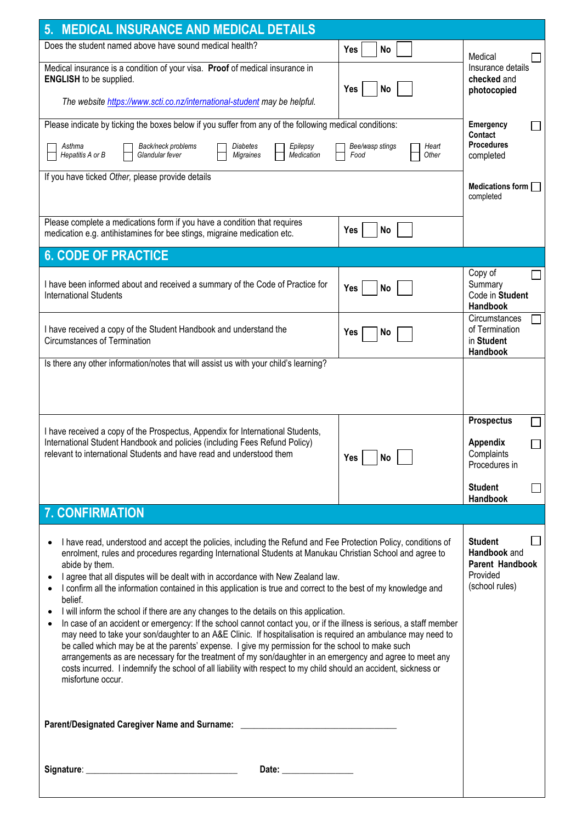| Does the student named above have sound medical health?<br><b>No</b><br>Yes<br>Medical insurance is a condition of your visa. Proof of medical insurance in<br><b>ENGLISH</b> to be supplied.<br>Yes<br><b>No</b>                                                                                                                                                                                                                                                                                                                                                                                                                                                                                                                                                                                                                                                                                                                                                                                                                                                                                                                                        | Medical                                                                         |
|----------------------------------------------------------------------------------------------------------------------------------------------------------------------------------------------------------------------------------------------------------------------------------------------------------------------------------------------------------------------------------------------------------------------------------------------------------------------------------------------------------------------------------------------------------------------------------------------------------------------------------------------------------------------------------------------------------------------------------------------------------------------------------------------------------------------------------------------------------------------------------------------------------------------------------------------------------------------------------------------------------------------------------------------------------------------------------------------------------------------------------------------------------|---------------------------------------------------------------------------------|
|                                                                                                                                                                                                                                                                                                                                                                                                                                                                                                                                                                                                                                                                                                                                                                                                                                                                                                                                                                                                                                                                                                                                                          |                                                                                 |
| The website https://www.scti.co.nz/international-student may be helpful.                                                                                                                                                                                                                                                                                                                                                                                                                                                                                                                                                                                                                                                                                                                                                                                                                                                                                                                                                                                                                                                                                 | Insurance details<br>checked and<br>photocopied                                 |
| Please indicate by ticking the boxes below if you suffer from any of the following medical conditions:<br>Asthma<br>Back/neck problems<br>Epilepsy<br>Bee/wasp stings<br>Diabetes<br>Heart<br>Hepatitis A or B<br>Glandular fever<br><b>Migraines</b><br>Medication<br>Food<br>Other                                                                                                                                                                                                                                                                                                                                                                                                                                                                                                                                                                                                                                                                                                                                                                                                                                                                     | Emergency<br><b>Contact</b><br><b>Procedures</b><br>completed                   |
| If you have ticked Other, please provide details                                                                                                                                                                                                                                                                                                                                                                                                                                                                                                                                                                                                                                                                                                                                                                                                                                                                                                                                                                                                                                                                                                         | Medications form $\Box$<br>completed                                            |
| Please complete a medications form if you have a condition that requires<br>No<br>Yes<br>medication e.g. antihistamines for bee stings, migraine medication etc.                                                                                                                                                                                                                                                                                                                                                                                                                                                                                                                                                                                                                                                                                                                                                                                                                                                                                                                                                                                         |                                                                                 |
| <b>6. CODE OF PRACTICE</b>                                                                                                                                                                                                                                                                                                                                                                                                                                                                                                                                                                                                                                                                                                                                                                                                                                                                                                                                                                                                                                                                                                                               |                                                                                 |
| I have been informed about and received a summary of the Code of Practice for<br>Yes<br>No<br><b>International Students</b>                                                                                                                                                                                                                                                                                                                                                                                                                                                                                                                                                                                                                                                                                                                                                                                                                                                                                                                                                                                                                              | Copy of<br>Summary<br>Code in Student<br>Handbook                               |
| I have received a copy of the Student Handbook and understand the<br><b>Yes</b><br>No<br>Circumstances of Termination<br>Is there any other information/notes that will assist us with your child's learning?                                                                                                                                                                                                                                                                                                                                                                                                                                                                                                                                                                                                                                                                                                                                                                                                                                                                                                                                            | Circumstances<br>of Termination<br>in Student<br>Handbook                       |
| I have received a copy of the Prospectus, Appendix for International Students,<br>International Student Handbook and policies (including Fees Refund Policy)<br>relevant to international Students and have read and understood them<br>$\vert$ No<br>Yes                                                                                                                                                                                                                                                                                                                                                                                                                                                                                                                                                                                                                                                                                                                                                                                                                                                                                                | <b>Prospectus</b><br><b>Appendix</b><br>Complaints<br>Procedures in             |
|                                                                                                                                                                                                                                                                                                                                                                                                                                                                                                                                                                                                                                                                                                                                                                                                                                                                                                                                                                                                                                                                                                                                                          | <b>Student</b><br>Handbook                                                      |
| <b>7. CONFIRMATION</b>                                                                                                                                                                                                                                                                                                                                                                                                                                                                                                                                                                                                                                                                                                                                                                                                                                                                                                                                                                                                                                                                                                                                   |                                                                                 |
| I have read, understood and accept the policies, including the Refund and Fee Protection Policy, conditions of<br>enrolment, rules and procedures regarding International Students at Manukau Christian School and agree to<br>abide by them.<br>I agree that all disputes will be dealt with in accordance with New Zealand law.<br>I confirm all the information contained in this application is true and correct to the best of my knowledge and<br>belief.<br>I will inform the school if there are any changes to the details on this application.<br>In case of an accident or emergency: If the school cannot contact you, or if the illness is serious, a staff member<br>may need to take your son/daughter to an A&E Clinic. If hospitalisation is required an ambulance may need to<br>be called which may be at the parents' expense. I give my permission for the school to make such<br>arrangements as are necessary for the treatment of my son/daughter in an emergency and agree to meet any<br>costs incurred. I indemnify the school of all liability with respect to my child should an accident, sickness or<br>misfortune occur. | <b>Student</b><br>Handbook and<br>Parent Handbook<br>Provided<br>(school rules) |
|                                                                                                                                                                                                                                                                                                                                                                                                                                                                                                                                                                                                                                                                                                                                                                                                                                                                                                                                                                                                                                                                                                                                                          |                                                                                 |
| Parent/Designated Caregiver Name and Surname: __________________________________                                                                                                                                                                                                                                                                                                                                                                                                                                                                                                                                                                                                                                                                                                                                                                                                                                                                                                                                                                                                                                                                         |                                                                                 |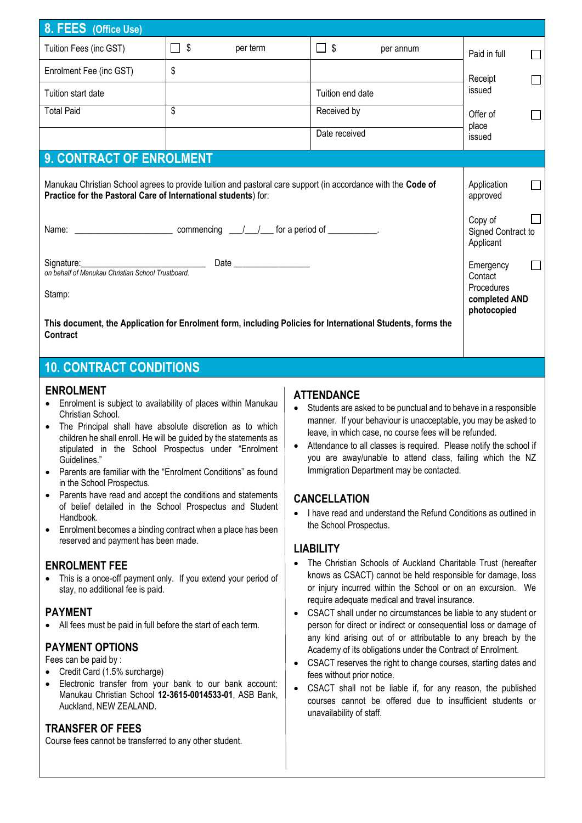| 8. FEES (Office Use)                                                                                                                                                           |             |          |                  |           |                 |                    |  |
|--------------------------------------------------------------------------------------------------------------------------------------------------------------------------------|-------------|----------|------------------|-----------|-----------------|--------------------|--|
| Tuition Fees (inc GST)                                                                                                                                                         | $\Box$ \$   | per term | $\Box$           | per annum | Paid in full    |                    |  |
| Enrolment Fee (inc GST)                                                                                                                                                        | \$          |          |                  |           | Receipt         |                    |  |
| Tuition start date                                                                                                                                                             |             |          | Tuition end date |           | issued          |                    |  |
| <b>Total Paid</b>                                                                                                                                                              | \$          |          | Received by      |           | Offer of        |                    |  |
|                                                                                                                                                                                |             |          | Date received    |           | place<br>issued |                    |  |
| <b>9. CONTRACT OF ENROLMENT</b>                                                                                                                                                |             |          |                  |           |                 |                    |  |
| Manukau Christian School agrees to provide tuition and pastoral care support (in accordance with the Code of<br>Practice for the Pastoral Care of International students) for: |             |          |                  |           |                 |                    |  |
| Name: $\frac{1}{1}$ Name: $\frac{1}{1}$ Mame: $\frac{1}{1}$ Mame: $\frac{1}{1}$ Mame: $\frac{1}{1}$ Mame: $\frac{1}{1}$ Mame: $\frac{1}{1}$                                    |             |          |                  |           |                 | Signed Contract to |  |
| Signature:<br>on behalf of Manukau Christian School Trustboard.                                                                                                                |             |          |                  |           |                 |                    |  |
| Stamp:                                                                                                                                                                         |             |          |                  |           |                 | completed AND      |  |
| This document, the Application for Enrolment form, including Policies for International Students, forms the<br>Contract                                                        | photocopied |          |                  |           |                 |                    |  |

### **10. CONTRACT CONDITIONS**

### **ENROLMENT**

- Enrolment is subject to availability of places within Manukau Christian School
- The Principal shall have absolute discretion as to which children he shall enroll. He will be guided by the statements as stipulated in the School Prospectus under "Enrolment Guidelines."
- Parents are familiar with the "Enrolment Conditions" as found in the School Prospectus.
- Parents have read and accept the conditions and statements of belief detailed in the School Prospectus and Student Handbook.
- Enrolment becomes a binding contract when a place has been reserved and payment has been made.

### **ENROLMENT FEE**

• This is a once-off payment only. If you extend your period of stay, no additional fee is paid.

### **PAYMENT**

• All fees must be paid in full before the start of each term.

# **PAYMENT OPTIONS**

Fees can be paid by :

- Credit Card (1.5% surcharge)
- Electronic transfer from your bank to our bank account: Manukau Christian School **12-3615-0014533-01**, ASB Bank, Auckland, NEW ZEALAND.

# **TRANSFER OF FEES**

Course fees cannot be transferred to any other student.

### **ATTENDANCE**

- Students are asked to be punctual and to behave in a responsible manner. If your behaviour is unacceptable, you may be asked to leave, in which case, no course fees will be refunded.
- Attendance to all classes is required. Please notify the school if you are away/unable to attend class, failing which the NZ Immigration Department may be contacted.

### **CANCELLATION**

• I have read and understand the Refund Conditions as outlined in the School Prospectus.

# **LIABILITY**

- The Christian Schools of Auckland Charitable Trust (hereafter knows as CSACT) cannot be held responsible for damage, loss or injury incurred within the School or on an excursion. We require adequate medical and travel insurance.
- CSACT shall under no circumstances be liable to any student or person for direct or indirect or consequential loss or damage of any kind arising out of or attributable to any breach by the Academy of its obligations under the Contract of Enrolment.
- CSACT reserves the right to change courses, starting dates and fees without prior notice.
- CSACT shall not be liable if, for any reason, the published courses cannot be offered due to insufficient students or unavailability of staff.